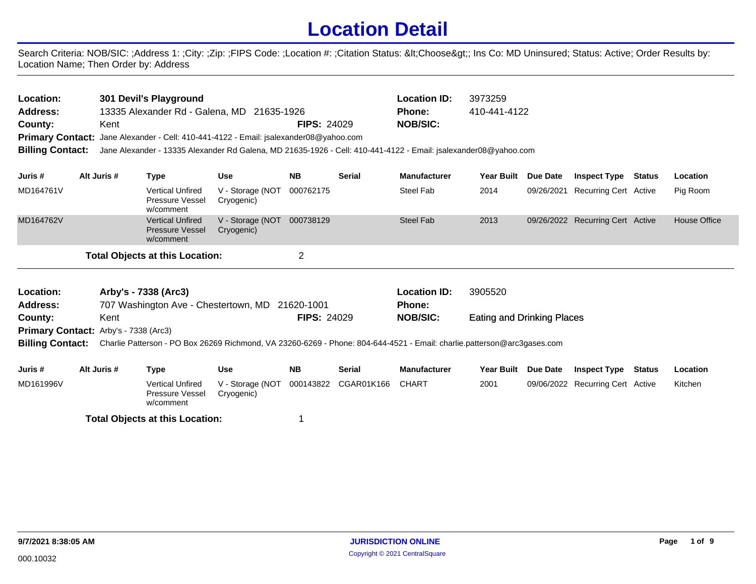## **Location Detail**

Search Criteria: NOB/SIC: ;Address 1: ;City: ;Zip: ;FIPS Code: ;Location #: ;Citation Status: <Choose&gt;; Ins Co: MD Uninsured; Status: Active; Order Results by: Location Name; Then Order by: Address

| Location:<br><b>Address:</b><br>County:<br><b>Billing Contact:</b> | Kent        | 301 Devil's Playground<br>13335 Alexander Rd - Galena, MD 21635-1926<br><b>Primary Contact:</b> Jane Alexander - Cell: 410-441-4122 - Email: jsalexander08@yahoo.com<br>Jane Alexander - 13335 Alexander Rd Galena, MD 21635-1926 - Cell: 410-441-4122 - Email: jsalexander08@yahoo.com |                                | <b>FIPS: 24029</b> |               | <b>Location ID:</b><br>Phone:<br><b>NOB/SIC:</b> | 3973259<br>410-441-4122           |                 |                                  |               |                     |
|--------------------------------------------------------------------|-------------|-----------------------------------------------------------------------------------------------------------------------------------------------------------------------------------------------------------------------------------------------------------------------------------------|--------------------------------|--------------------|---------------|--------------------------------------------------|-----------------------------------|-----------------|----------------------------------|---------------|---------------------|
| Juris #                                                            | Alt Juris # | <b>Type</b>                                                                                                                                                                                                                                                                             | <b>Use</b>                     | <b>NB</b>          | <b>Serial</b> | <b>Manufacturer</b>                              | <b>Year Built</b>                 | <b>Due Date</b> | <b>Inspect Type</b>              | <b>Status</b> | Location            |
| MD164761V                                                          |             | <b>Vertical Unfired</b><br>Pressure Vessel<br>w/comment                                                                                                                                                                                                                                 | V - Storage (NOT<br>Cryogenic) | 000762175          |               | <b>Steel Fab</b>                                 | 2014                              |                 | 09/26/2021 Recurring Cert Active |               | Pig Room            |
| MD164762V                                                          |             | <b>Vertical Unfired</b><br><b>Pressure Vessel</b><br>w/comment                                                                                                                                                                                                                          | V - Storage (NOT<br>Cryogenic) | 000738129          |               | Steel Fab                                        | 2013                              |                 | 09/26/2022 Recurring Cert Active |               | <b>House Office</b> |
|                                                                    |             | <b>Total Objects at this Location:</b>                                                                                                                                                                                                                                                  |                                | $\overline{2}$     |               |                                                  |                                   |                 |                                  |               |                     |
| Location:<br><b>Address:</b>                                       |             | Arby's - 7338 (Arc3)<br>707 Washington Ave - Chestertown, MD 21620-1001                                                                                                                                                                                                                 |                                |                    |               | <b>Location ID:</b><br><b>Phone:</b>             | 3905520                           |                 |                                  |               |                     |
| County:                                                            | Kent        |                                                                                                                                                                                                                                                                                         |                                | <b>FIPS: 24029</b> |               | <b>NOB/SIC:</b>                                  | <b>Eating and Drinking Places</b> |                 |                                  |               |                     |
| Primary Contact: Arby's - 7338 (Arc3)                              |             | Billing Contact: Charlie Patterson - PO Box 26269 Richmond, VA 23260-6269 - Phone: 804-644-4521 - Email: charlie.patterson@arc3gases.com                                                                                                                                                |                                |                    |               |                                                  |                                   |                 |                                  |               |                     |
| Juris #                                                            | Alt Juris # | <b>Type</b>                                                                                                                                                                                                                                                                             | <b>Use</b>                     | <b>NB</b>          | <b>Serial</b> | <b>Manufacturer</b>                              | <b>Year Built</b>                 | <b>Due Date</b> | <b>Inspect Type</b>              | <b>Status</b> | Location            |
| MD161996V                                                          |             | <b>Vertical Unfired</b><br><b>Pressure Vessel</b><br>w/comment                                                                                                                                                                                                                          | V - Storage (NOT<br>Cryogenic) | 000143822          | CGAR01K166    | <b>CHART</b>                                     | 2001                              |                 | 09/06/2022 Recurring Cert Active |               | Kitchen             |
|                                                                    |             | <b>Total Objects at this Location:</b>                                                                                                                                                                                                                                                  |                                | 1                  |               |                                                  |                                   |                 |                                  |               |                     |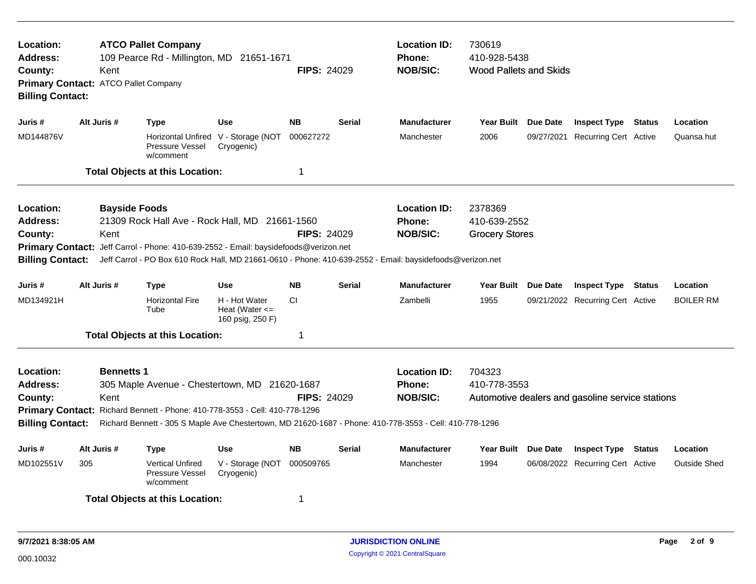| <b>ATCO Pallet Company</b><br>Location:<br>109 Pearce Rd - Millington, MD 21651-1671<br>Address:<br><b>FIPS: 24029</b><br>Kent<br>County:<br>Primary Contact: ATCO Pallet Company<br><b>Billing Contact:</b><br>Alt Juris #<br><b>NB</b><br><b>Use</b><br>Juris #<br><b>Type</b> |                              |                                                                                                                                                                                                                                                     |                                                         |                    |               | <b>Location ID:</b><br><b>Phone:</b><br><b>NOB/SIC:</b> | 730619<br>410-928-5438<br><b>Wood Pallets and Skids</b> |                                                  |        |                     |
|----------------------------------------------------------------------------------------------------------------------------------------------------------------------------------------------------------------------------------------------------------------------------------|------------------------------|-----------------------------------------------------------------------------------------------------------------------------------------------------------------------------------------------------------------------------------------------------|---------------------------------------------------------|--------------------|---------------|---------------------------------------------------------|---------------------------------------------------------|--------------------------------------------------|--------|---------------------|
|                                                                                                                                                                                                                                                                                  |                              |                                                                                                                                                                                                                                                     |                                                         |                    | <b>Serial</b> | <b>Manufacturer</b>                                     | Year Built Due Date                                     | <b>Inspect Type Status</b>                       |        | Location            |
| MD144876V                                                                                                                                                                                                                                                                        |                              | Pressure Vessel<br>w/comment                                                                                                                                                                                                                        | Horizontal Unfired V - Storage (NOT<br>Cryogenic)       | 000627272          |               | Manchester                                              | 2006                                                    | 09/27/2021 Recurring Cert Active                 |        | Quansa hut          |
|                                                                                                                                                                                                                                                                                  |                              | <b>Total Objects at this Location:</b>                                                                                                                                                                                                              |                                                         | 1                  |               |                                                         |                                                         |                                                  |        |                     |
| Location:<br>Address:<br>County:<br><b>Billing Contact:</b>                                                                                                                                                                                                                      | <b>Bayside Foods</b><br>Kent | 21309 Rock Hall Ave - Rock Hall, MD 21661-1560<br>Primary Contact: Jeff Carrol - Phone: 410-639-2552 - Email: baysidefoods@verizon.net<br>Jeff Carrol - PO Box 610 Rock Hall, MD 21661-0610 - Phone: 410-639-2552 - Email: baysidefoods@verizon.net |                                                         | <b>FIPS: 24029</b> |               | <b>Location ID:</b><br><b>Phone:</b><br><b>NOB/SIC:</b> | 2378369<br>410-639-2552<br><b>Grocery Stores</b>        |                                                  |        |                     |
| Juris #                                                                                                                                                                                                                                                                          | Alt Juris #                  | <b>Type</b>                                                                                                                                                                                                                                         | <b>Use</b>                                              | <b>NB</b>          | <b>Serial</b> | Manufacturer                                            | Year Built Due Date                                     | <b>Inspect Type Status</b>                       |        | Location            |
| MD134921H                                                                                                                                                                                                                                                                        |                              | <b>Horizontal Fire</b><br>Tube                                                                                                                                                                                                                      | H - Hot Water<br>Heat (Water $\leq$<br>160 psig, 250 F) | CI.                |               | Zambelli                                                | 1955                                                    | 09/21/2022 Recurring Cert Active                 |        | <b>BOILER RM</b>    |
|                                                                                                                                                                                                                                                                                  |                              | <b>Total Objects at this Location:</b>                                                                                                                                                                                                              |                                                         | 1                  |               |                                                         |                                                         |                                                  |        |                     |
| Location:<br>Address:<br>County:<br><b>Billing Contact:</b>                                                                                                                                                                                                                      | <b>Bennetts 1</b><br>Kent    | 305 Maple Avenue - Chestertown, MD 21620-1687<br>Primary Contact: Richard Bennett - Phone: 410-778-3553 - Cell: 410-778-1296<br>Richard Bennett - 305 S Maple Ave Chestertown, MD 21620-1687 - Phone: 410-778-3553 - Cell: 410-778-1296             |                                                         | <b>FIPS: 24029</b> |               | <b>Location ID:</b><br><b>Phone:</b><br><b>NOB/SIC:</b> | 704323<br>410-778-3553                                  | Automotive dealers and gasoline service stations |        |                     |
| Juris #                                                                                                                                                                                                                                                                          | Alt Juris #                  | Type                                                                                                                                                                                                                                                | <b>Use</b>                                              | <b>NB</b>          | <b>Serial</b> | <b>Manufacturer</b>                                     | Year Built Due Date                                     | <b>Inspect Type</b>                              | Status | Location            |
| MD102551V                                                                                                                                                                                                                                                                        | 305                          | <b>Vertical Unfired</b><br>Pressure Vessel<br>w/comment                                                                                                                                                                                             | V - Storage (NOT<br>Cryogenic)                          | 000509765          |               | Manchester                                              | 1994                                                    | 06/08/2022 Recurring Cert Active                 |        | <b>Outside Shed</b> |
|                                                                                                                                                                                                                                                                                  |                              | <b>Total Objects at this Location:</b>                                                                                                                                                                                                              |                                                         | 1                  |               |                                                         |                                                         |                                                  |        |                     |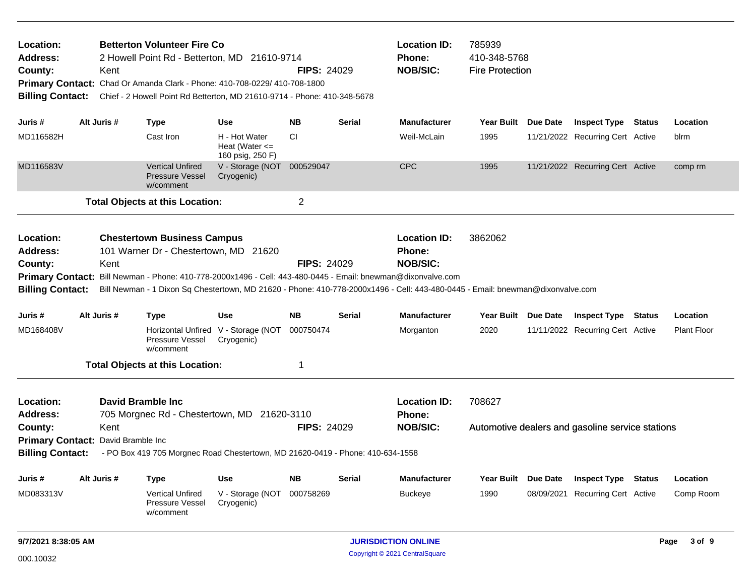| Location:<br><b>Address:</b><br>County:<br><b>Billing Contact:</b> | Kent                                       | <b>Betterton Volunteer Fire Co</b><br>2 Howell Point Rd - Betterton, MD 21610-9714<br>Primary Contact: Chad Or Amanda Clark - Phone: 410-708-0229/ 410-708-1800 |                                                         | <b>Location ID:</b><br>Phone:<br><b>NOB/SIC:</b><br><b>FIPS: 24029</b><br>Chief - 2 Howell Point Rd Betterton, MD 21610-9714 - Phone: 410-348-5678 |               |                                                                                                                                                                                                                                                                                                    | 785939<br>410-348-5768<br><b>Fire Protection</b> |                 |                                                  |  |                    |
|--------------------------------------------------------------------|--------------------------------------------|-----------------------------------------------------------------------------------------------------------------------------------------------------------------|---------------------------------------------------------|----------------------------------------------------------------------------------------------------------------------------------------------------|---------------|----------------------------------------------------------------------------------------------------------------------------------------------------------------------------------------------------------------------------------------------------------------------------------------------------|--------------------------------------------------|-----------------|--------------------------------------------------|--|--------------------|
| Juris #                                                            | Alt Juris #                                | <b>Type</b>                                                                                                                                                     | Use                                                     | <b>NB</b>                                                                                                                                          | <b>Serial</b> | <b>Manufacturer</b>                                                                                                                                                                                                                                                                                | Year Built Due Date                              |                 | <b>Inspect Type Status</b>                       |  | Location           |
| MD116582H                                                          |                                            | Cast Iron                                                                                                                                                       | H - Hot Water<br>Heat (Water $\leq$<br>160 psig, 250 F) | <b>CI</b>                                                                                                                                          |               | Weil-McLain                                                                                                                                                                                                                                                                                        | 1995                                             |                 | 11/21/2022 Recurring Cert Active                 |  | blrm               |
| MD116583V                                                          |                                            | <b>Vertical Unfired</b><br><b>Pressure Vessel</b><br>w/comment                                                                                                  | V - Storage (NOT<br>Cryogenic)                          | 000529047                                                                                                                                          |               | <b>CPC</b>                                                                                                                                                                                                                                                                                         | 1995                                             |                 | 11/21/2022 Recurring Cert Active                 |  | comp rm            |
|                                                                    |                                            | <b>Total Objects at this Location:</b>                                                                                                                          |                                                         | 2                                                                                                                                                  |               |                                                                                                                                                                                                                                                                                                    |                                                  |                 |                                                  |  |                    |
| Location:<br><b>Address:</b><br>County:<br><b>Billing Contact:</b> | Kent                                       | <b>Chestertown Business Campus</b><br>101 Warner Dr - Chestertown, MD 21620                                                                                     |                                                         | <b>FIPS: 24029</b>                                                                                                                                 |               | <b>Location ID:</b><br>Phone:<br><b>NOB/SIC:</b><br>Primary Contact: Bill Newman - Phone: 410-778-2000x1496 - Cell: 443-480-0445 - Email: bnewman@dixonvalve.com<br>Bill Newman - 1 Dixon Sq Chestertown, MD 21620 - Phone: 410-778-2000x1496 - Cell: 443-480-0445 - Email: bnewman@dixonvalve.com | 3862062                                          |                 |                                                  |  |                    |
| Juris #                                                            | Alt Juris #                                | <b>Type</b>                                                                                                                                                     | <b>Use</b>                                              | <b>NB</b>                                                                                                                                          | <b>Serial</b> | <b>Manufacturer</b>                                                                                                                                                                                                                                                                                | Year Built                                       | <b>Due Date</b> | <b>Inspect Type Status</b>                       |  | Location           |
| MD168408V                                                          |                                            | Pressure Vessel<br>w/comment                                                                                                                                    | Horizontal Unfired V - Storage (NOT<br>Cryogenic)       | 000750474                                                                                                                                          |               | Morganton                                                                                                                                                                                                                                                                                          | 2020                                             |                 | 11/11/2022 Recurring Cert Active                 |  | <b>Plant Floor</b> |
|                                                                    |                                            | <b>Total Objects at this Location:</b>                                                                                                                          |                                                         | -1                                                                                                                                                 |               |                                                                                                                                                                                                                                                                                                    |                                                  |                 |                                                  |  |                    |
| Location:<br><b>Address:</b><br>County:<br><b>Billing Contact:</b> | Kent<br>Primary Contact: David Bramble Inc | <b>David Bramble Inc.</b><br>705 Morgnec Rd - Chestertown, MD 21620-3110<br>- PO Box 419 705 Morgnec Road Chestertown, MD 21620-0419 - Phone: 410-634-1558      |                                                         | <b>FIPS: 24029</b>                                                                                                                                 |               | <b>Location ID:</b><br>Phone:<br><b>NOB/SIC:</b>                                                                                                                                                                                                                                                   | 708627                                           |                 | Automotive dealers and gasoline service stations |  |                    |
|                                                                    |                                            |                                                                                                                                                                 |                                                         |                                                                                                                                                    |               |                                                                                                                                                                                                                                                                                                    |                                                  |                 |                                                  |  |                    |
| Juris #                                                            | Alt Juris #                                | <b>Type</b>                                                                                                                                                     | Use                                                     | <b>NB</b>                                                                                                                                          | <b>Serial</b> | <b>Manufacturer</b>                                                                                                                                                                                                                                                                                | <b>Year Built</b>                                | Due Date        | <b>Inspect Type Status</b>                       |  | Location           |
| MD083313V                                                          |                                            | <b>Vertical Unfired</b><br>Pressure Vessel<br>w/comment                                                                                                         | V - Storage (NOT<br>Cryogenic)                          | 000758269                                                                                                                                          |               | <b>Buckeye</b>                                                                                                                                                                                                                                                                                     | 1990                                             |                 | 08/09/2021 Recurring Cert Active                 |  | Comp Room          |
| 9/7/2021 8:38:05 AM                                                |                                            |                                                                                                                                                                 |                                                         |                                                                                                                                                    |               | <b>JURISDICTION ONLINE</b>                                                                                                                                                                                                                                                                         |                                                  |                 |                                                  |  | 3 of 9<br>Page     |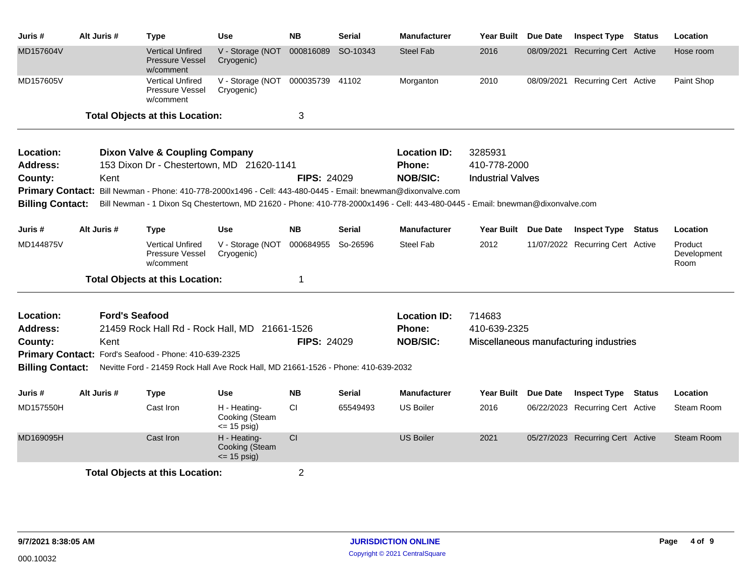| Juris #                      | Alt Juris #           | <b>Type</b>                                                                                                                                | <b>Use</b>                                       | <b>NB</b>          | <b>Serial</b> | <b>Manufacturer</b>           | <b>Year Built</b>        | Due Date   | <b>Inspect Type Status</b>             | Location                       |
|------------------------------|-----------------------|--------------------------------------------------------------------------------------------------------------------------------------------|--------------------------------------------------|--------------------|---------------|-------------------------------|--------------------------|------------|----------------------------------------|--------------------------------|
| MD157604V                    |                       | <b>Vertical Unfired</b><br><b>Pressure Vessel</b><br>w/comment                                                                             | V - Storage (NOT 000816089<br>Cryogenic)         |                    | SO-10343      | <b>Steel Fab</b>              | 2016                     | 08/09/2021 | <b>Recurring Cert Active</b>           | Hose room                      |
| MD157605V                    |                       | <b>Vertical Unfired</b><br>Pressure Vessel<br>w/comment                                                                                    | V - Storage (NOT 000035739 41102<br>Cryogenic)   |                    |               | Morganton                     | 2010                     |            | 08/09/2021 Recurring Cert Active       | Paint Shop                     |
|                              |                       | <b>Total Objects at this Location:</b>                                                                                                     |                                                  | 3                  |               |                               |                          |            |                                        |                                |
| Location:<br><b>Address:</b> |                       | <b>Dixon Valve &amp; Coupling Company</b><br>153 Dixon Dr - Chestertown, MD 21620-1141                                                     |                                                  |                    |               | <b>Location ID:</b><br>Phone: | 3285931<br>410-778-2000  |            |                                        |                                |
| County:                      | Kent                  |                                                                                                                                            |                                                  | <b>FIPS: 24029</b> |               | <b>NOB/SIC:</b>               | <b>Industrial Valves</b> |            |                                        |                                |
| <b>Primary Contact:</b>      |                       | Bill Newman - Phone: 410-778-2000x1496 - Cell: 443-480-0445 - Email: bnewman@dixonvalve.com                                                |                                                  |                    |               |                               |                          |            |                                        |                                |
| <b>Billing Contact:</b>      |                       | Bill Newman - 1 Dixon Sq Chestertown, MD 21620 - Phone: 410-778-2000x1496 - Cell: 443-480-0445 - Email: bnewman@dixonvalve.com             |                                                  |                    |               |                               |                          |            |                                        |                                |
| Juris #                      | Alt Juris #           | <b>Type</b>                                                                                                                                | <b>Use</b>                                       | <b>NB</b>          | Serial        | <b>Manufacturer</b>           | Year Built Due Date      |            | <b>Inspect Type Status</b>             | Location                       |
| MD144875V                    |                       | <b>Vertical Unfired</b><br>Pressure Vessel<br>w/comment                                                                                    | V - Storage (NOT<br>Cryogenic)                   | 000684955          | So-26596      | <b>Steel Fab</b>              | 2012                     |            | 11/07/2022 Recurring Cert Active       | Product<br>Development<br>Room |
|                              |                       | <b>Total Objects at this Location:</b>                                                                                                     |                                                  | 1                  |               |                               |                          |            |                                        |                                |
| Location:                    | <b>Ford's Seafood</b> |                                                                                                                                            |                                                  |                    |               | <b>Location ID:</b>           | 714683                   |            |                                        |                                |
| Address:                     |                       | 21459 Rock Hall Rd - Rock Hall, MD 21661-1526                                                                                              |                                                  |                    |               | <b>Phone:</b>                 | 410-639-2325             |            |                                        |                                |
| County:                      | Kent                  |                                                                                                                                            |                                                  | <b>FIPS: 24029</b> |               | <b>NOB/SIC:</b>               |                          |            | Miscellaneous manufacturing industries |                                |
| <b>Billing Contact:</b>      |                       | Primary Contact: Ford's Seafood - Phone: 410-639-2325<br>Nevitte Ford - 21459 Rock Hall Ave Rock Hall, MD 21661-1526 - Phone: 410-639-2032 |                                                  |                    |               |                               |                          |            |                                        |                                |
| Juris #                      | Alt Juris #           | <b>Type</b>                                                                                                                                | <b>Use</b>                                       | <b>NB</b>          | Serial        | <b>Manufacturer</b>           | Year Built Due Date      |            | <b>Inspect Type Status</b>             | Location                       |
| MD157550H                    |                       | Cast Iron                                                                                                                                  | H - Heating-<br>Cooking (Steam<br>$= 15$ psig)   | CI                 | 65549493      | <b>US Boiler</b>              | 2016                     |            | 06/22/2023 Recurring Cert Active       | Steam Room                     |
| MD169095H                    |                       | Cast Iron                                                                                                                                  | H - Heating-<br>Cooking (Steam<br>$\le$ 15 psig) | CI                 |               | <b>US Boiler</b>              | 2021                     |            | 05/27/2023 Recurring Cert Active       | Steam Room                     |
|                              |                       | <b>Total Objects at this Location:</b>                                                                                                     |                                                  | $\overline{2}$     |               |                               |                          |            |                                        |                                |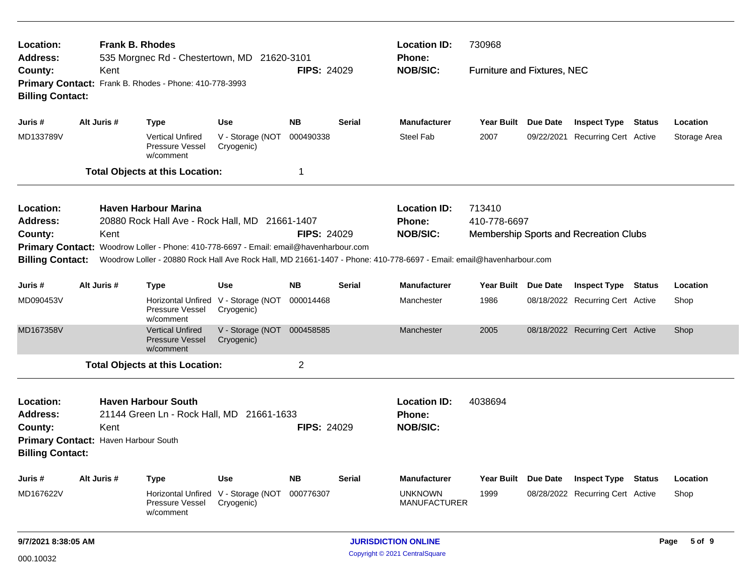| Location:<br><b>Address:</b>                                                                               | <b>Frank B. Rhodes</b> | 535 Morgnec Rd - Chestertown, MD 21620-3101                                           |                                                   |                    |               | <b>Location ID:</b><br>Phone:                                                                                       | 730968                      |                                        |              |
|------------------------------------------------------------------------------------------------------------|------------------------|---------------------------------------------------------------------------------------|---------------------------------------------------|--------------------|---------------|---------------------------------------------------------------------------------------------------------------------|-----------------------------|----------------------------------------|--------------|
| County:<br><b>Billing Contact:</b>                                                                         | Kent                   | Primary Contact: Frank B. Rhodes - Phone: 410-778-3993                                |                                                   | <b>FIPS: 24029</b> |               | <b>NOB/SIC:</b>                                                                                                     | Furniture and Fixtures, NEC |                                        |              |
| Juris #                                                                                                    | Alt Juris #            | <b>Type</b>                                                                           | <b>Use</b>                                        | <b>NB</b>          | <b>Serial</b> | <b>Manufacturer</b>                                                                                                 | Year Built Due Date         | <b>Inspect Type Status</b>             | Location     |
| MD133789V                                                                                                  |                        | <b>Vertical Unfired</b><br><b>Pressure Vessel</b><br>w/comment                        | V - Storage (NOT<br>Cryogenic)                    | 000490338          |               | <b>Steel Fab</b>                                                                                                    | 2007                        | 09/22/2021 Recurring Cert Active       | Storage Area |
|                                                                                                            |                        | <b>Total Objects at this Location:</b>                                                |                                                   | 1                  |               |                                                                                                                     |                             |                                        |              |
| Location:                                                                                                  |                        | <b>Haven Harbour Marina</b>                                                           |                                                   |                    |               | <b>Location ID:</b>                                                                                                 | 713410                      |                                        |              |
| <b>Address:</b>                                                                                            |                        | 20880 Rock Hall Ave - Rock Hall, MD 21661-1407                                        |                                                   |                    |               | Phone:                                                                                                              | 410-778-6697                |                                        |              |
| County:                                                                                                    | Kent                   |                                                                                       |                                                   | <b>FIPS: 24029</b> |               | <b>NOB/SIC:</b>                                                                                                     |                             | Membership Sports and Recreation Clubs |              |
|                                                                                                            |                        | Primary Contact: Woodrow Loller - Phone: 410-778-6697 - Email: email@havenharbour.com |                                                   |                    |               |                                                                                                                     |                             |                                        |              |
| <b>Billing Contact:</b>                                                                                    |                        |                                                                                       |                                                   |                    |               | Woodrow Loller - 20880 Rock Hall Ave Rock Hall, MD 21661-1407 - Phone: 410-778-6697 - Email: email@havenharbour.com |                             |                                        |              |
| Juris #                                                                                                    | Alt Juris #            | <b>Type</b>                                                                           | <b>Use</b>                                        | <b>NB</b>          | Serial        | <b>Manufacturer</b>                                                                                                 | Year Built Due Date         | <b>Inspect Type Status</b>             | Location     |
| MD090453V                                                                                                  |                        | Horizontal Unfired V - Storage (NOT<br>Pressure Vessel<br>w/comment                   | Cryogenic)                                        | 000014468          |               | Manchester                                                                                                          | 1986                        | 08/18/2022 Recurring Cert Active       | Shop         |
| MD167358V                                                                                                  |                        | <b>Vertical Unfired</b><br><b>Pressure Vessel</b><br>w/comment                        | V - Storage (NOT 000458585<br>Cryogenic)          |                    |               | Manchester                                                                                                          | 2005                        | 08/18/2022 Recurring Cert Active       | Shop         |
|                                                                                                            |                        | <b>Total Objects at this Location:</b>                                                |                                                   | 2                  |               |                                                                                                                     |                             |                                        |              |
| Location:<br><b>Address:</b><br>County:<br>Primary Contact: Haven Harbour South<br><b>Billing Contact:</b> | Kent                   | <b>Haven Harbour South</b><br>21144 Green Ln - Rock Hall, MD 21661-1633               |                                                   | <b>FIPS: 24029</b> |               | <b>Location ID:</b><br>Phone:<br><b>NOB/SIC:</b>                                                                    | 4038694                     |                                        |              |
| Juris #                                                                                                    | Alt Juris #            | Type                                                                                  | <b>Use</b>                                        | <b>NB</b>          | <b>Serial</b> | <b>Manufacturer</b>                                                                                                 | Year Built Due Date         | <b>Inspect Type Status</b>             | Location     |
| MD167622V                                                                                                  |                        | Pressure Vessel<br>w/comment                                                          | Horizontal Unfired V - Storage (NOT<br>Cryogenic) | 000776307          |               | <b>UNKNOWN</b><br><b>MANUFACTURER</b>                                                                               | 1999                        | 08/28/2022 Recurring Cert Active       | Shop         |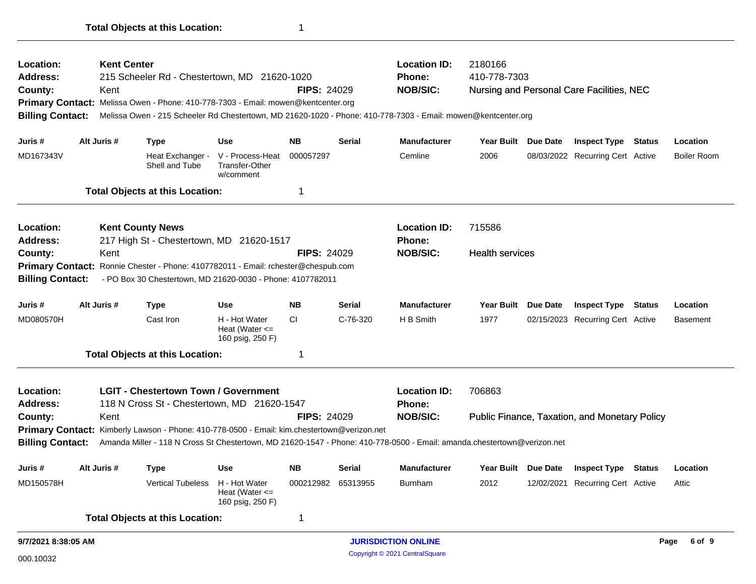| 9/7/2021 8:38:05 AM     |                    |                                                                                             |                                                         |                    |               | <b>JURISDICTION ONLINE</b>                                                                                              |                        |          |                                               |        | 6 of 9<br>Page     |
|-------------------------|--------------------|---------------------------------------------------------------------------------------------|---------------------------------------------------------|--------------------|---------------|-------------------------------------------------------------------------------------------------------------------------|------------------------|----------|-----------------------------------------------|--------|--------------------|
|                         |                    | <b>Total Objects at this Location:</b>                                                      |                                                         | 1                  |               |                                                                                                                         |                        |          |                                               |        |                    |
| MD150578H               |                    | <b>Vertical Tubeless</b>                                                                    | H - Hot Water<br>Heat (Water $\leq$<br>160 psig, 250 F) | 000212982 65313955 |               | <b>Burnham</b>                                                                                                          | 2012                   |          | 12/02/2021 Recurring Cert Active              |        | Attic              |
| Juris #                 | Alt Juris #        | Type                                                                                        | Use                                                     | <b>NB</b>          | <b>Serial</b> | <b>Manufacturer</b>                                                                                                     | Year Built Due Date    |          | <b>Inspect Type</b>                           | Status | Location           |
| <b>Billing Contact:</b> |                    |                                                                                             |                                                         |                    |               | Amanda Miller - 118 N Cross St Chestertown, MD 21620-1547 - Phone: 410-778-0500 - Email: amanda.chestertown@verizon.net |                        |          |                                               |        |                    |
|                         |                    | Primary Contact: Kimberly Lawson - Phone: 410-778-0500 - Email: kim.chestertown@verizon.net |                                                         |                    |               |                                                                                                                         |                        |          |                                               |        |                    |
| County:                 | Kent               |                                                                                             |                                                         | <b>FIPS: 24029</b> |               | <b>NOB/SIC:</b>                                                                                                         |                        |          | Public Finance, Taxation, and Monetary Policy |        |                    |
| <b>Address:</b>         |                    | 118 N Cross St - Chestertown, MD 21620-1547                                                 |                                                         |                    |               | <b>Phone:</b>                                                                                                           |                        |          |                                               |        |                    |
| <b>Location:</b>        |                    | <b>LGIT - Chestertown Town / Government</b>                                                 |                                                         |                    |               | <b>Location ID:</b>                                                                                                     | 706863                 |          |                                               |        |                    |
|                         |                    | <b>Total Objects at this Location:</b>                                                      |                                                         | 1                  |               |                                                                                                                         |                        |          |                                               |        |                    |
| MD080570H               |                    | Cast Iron                                                                                   | H - Hot Water<br>Heat (Water $\leq$<br>160 psig, 250 F) | CI.                | C-76-320      | H B Smith                                                                                                               | 1977                   |          | 02/15/2023 Recurring Cert Active              |        | <b>Basement</b>    |
| Juris #                 | Alt Juris #        | <b>Type</b>                                                                                 | Use                                                     | <b>NB</b>          | <b>Serial</b> | <b>Manufacturer</b>                                                                                                     | <b>Year Built</b>      | Due Date | <b>Inspect Type Status</b>                    |        | Location           |
| <b>Billing Contact:</b> |                    | - PO Box 30 Chestertown, MD 21620-0030 - Phone: 4107782011                                  |                                                         |                    |               |                                                                                                                         |                        |          |                                               |        |                    |
|                         |                    | Primary Contact: Ronnie Chester - Phone: 4107782011 - Email: rchester@chespub.com           |                                                         |                    |               |                                                                                                                         |                        |          |                                               |        |                    |
| County:                 | Kent               |                                                                                             |                                                         | <b>FIPS: 24029</b> |               | <b>NOB/SIC:</b>                                                                                                         | <b>Health services</b> |          |                                               |        |                    |
| <b>Address:</b>         |                    | 217 High St - Chestertown, MD 21620-1517                                                    |                                                         |                    |               | <b>Phone:</b>                                                                                                           |                        |          |                                               |        |                    |
| <b>Location:</b>        |                    | <b>Kent County News</b>                                                                     |                                                         |                    |               | <b>Location ID:</b>                                                                                                     | 715586                 |          |                                               |        |                    |
|                         |                    | <b>Total Objects at this Location:</b>                                                      |                                                         | 1                  |               |                                                                                                                         |                        |          |                                               |        |                    |
| MD167343V               |                    | Heat Exchanger -<br>Shell and Tube                                                          | V - Process-Heat<br><b>Transfer-Other</b><br>w/comment  | 000057297          |               | Cemline                                                                                                                 | 2006                   |          | 08/03/2022 Recurring Cert Active              |        | <b>Boiler Room</b> |
| Juris #                 | Alt Juris #        | <b>Type</b>                                                                                 | <b>Use</b>                                              | <b>NB</b>          | <b>Serial</b> | <b>Manufacturer</b>                                                                                                     | Year Built Due Date    |          | <b>Inspect Type Status</b>                    |        | Location           |
| <b>Billing Contact:</b> |                    |                                                                                             |                                                         |                    |               | Melissa Owen - 215 Scheeler Rd Chestertown, MD 21620-1020 - Phone: 410-778-7303 - Email: mowen@kentcenter.org           |                        |          |                                               |        |                    |
|                         |                    | Primary Contact: Melissa Owen - Phone: 410-778-7303 - Email: mowen@kentcenter.org           |                                                         |                    |               |                                                                                                                         |                        |          |                                               |        |                    |
| County:                 | Kent               |                                                                                             |                                                         | <b>FIPS: 24029</b> |               | <b>NOB/SIC:</b>                                                                                                         |                        |          | Nursing and Personal Care Facilities, NEC     |        |                    |
| <b>Address:</b>         |                    | 215 Scheeler Rd - Chestertown, MD 21620-1020                                                |                                                         |                    |               | <b>Phone:</b>                                                                                                           | 410-778-7303           |          |                                               |        |                    |
| Location:               | <b>Kent Center</b> |                                                                                             |                                                         |                    |               | <b>Location ID:</b>                                                                                                     | 2180166                |          |                                               |        |                    |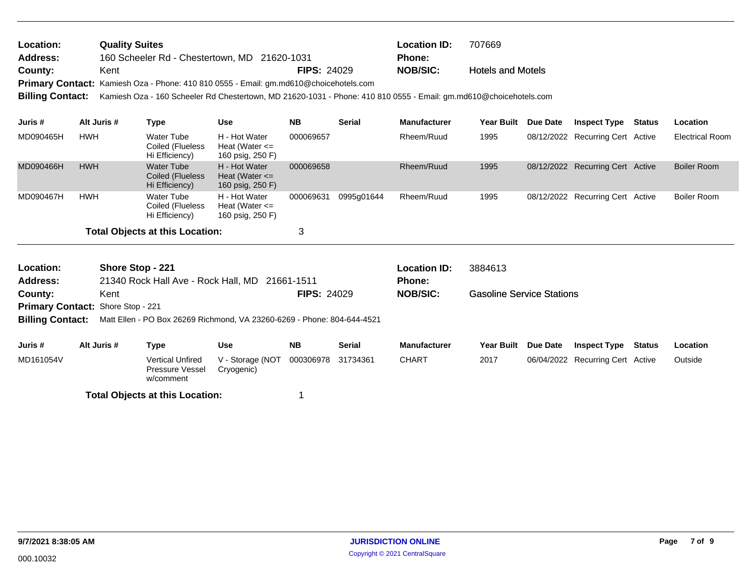| Location: | <b>Quality Suites</b>                                                                 |                    | <b>Location ID:</b> | 707669                   |
|-----------|---------------------------------------------------------------------------------------|--------------------|---------------------|--------------------------|
| Address:  | 160 Scheeler Rd - Chestertown, MD 21620-1031                                          |                    | <b>Phone:</b>       |                          |
| County:   | Kent                                                                                  | <b>FIPS: 24029</b> | NOB/SIC:            | <b>Hotels and Motels</b> |
|           | Primary Contact: Kamiesh Oza - Phone: 410 810 0555 - Email: gm.md610@choicehotels.com |                    |                     |                          |
|           |                                                                                       |                    |                     |                          |

**Billing Contact:** Kamiesh Oza - 160 Scheeler Rd Chestertown, MD 21620-1031 - Phone: 410 810 0555 - Email: gm.md610@choicehotels.com

| Juris #   | Alt Juris # | Type                                             | Use                                                     | <b>NB</b> | <b>Serial</b> | <b>Manufacturer</b> | <b>Year Built</b> | <b>Due Date</b> | Inspect Type                     | Status | <b>Location</b>        |
|-----------|-------------|--------------------------------------------------|---------------------------------------------------------|-----------|---------------|---------------------|-------------------|-----------------|----------------------------------|--------|------------------------|
| MD090465H | <b>HWH</b>  | Water Tube<br>Coiled (Flueless<br>Hi Efficiency) | H - Hot Water<br>Heat (Water $\leq$<br>160 psig, 250 F) | 000069657 |               | Rheem/Ruud          | 1995              |                 | 08/12/2022 Recurring Cert Active |        | <b>Electrical Room</b> |
| MD090466H | <b>HWH</b>  | Water Tube<br>Coiled (Flueless<br>Hi Efficiency) | H - Hot Water<br>Heat (Water $\leq$<br>160 psig, 250 F) | 000069658 |               | Rheem/Ruud          | 1995              |                 | 08/12/2022 Recurring Cert Active |        | Boiler Room            |
| MD090467H | <b>HWH</b>  | Water Tube<br>Coiled (Flueless<br>Hi Efficiency) | H - Hot Water<br>Heat (Water $\leq$<br>160 psig, 250 F) | 000069631 | 0995q01644    | Rheem/Ruud          | 1995              |                 | 08/12/2022 Recurring Cert Active |        | Boiler Room            |
|           |             | <b>Total Objects at this Location:</b>           |                                                         | 3         |               |                     |                   |                 |                                  |        |                        |

| Location:<br><b>Address:</b>             | Shore Stop - 221 | 21340 Rock Hall Ave - Rock Hall, MD 21661-1511                          |                                |                    |               | Location ID:<br><b>Phone:</b> | 3884613                          |                 |                                  |        |          |
|------------------------------------------|------------------|-------------------------------------------------------------------------|--------------------------------|--------------------|---------------|-------------------------------|----------------------------------|-----------------|----------------------------------|--------|----------|
| County:                                  | Kent             |                                                                         |                                | <b>FIPS: 24029</b> |               | <b>NOB/SIC:</b>               | <b>Gasoline Service Stations</b> |                 |                                  |        |          |
| <b>Primary Contact: Shore Stop - 221</b> |                  |                                                                         |                                |                    |               |                               |                                  |                 |                                  |        |          |
| <b>Billing Contact:</b>                  |                  | Matt Ellen - PO Box 26269 Richmond, VA 23260-6269 - Phone: 804-644-4521 |                                |                    |               |                               |                                  |                 |                                  |        |          |
| Juris #                                  | Alt Juris #      | Type                                                                    | Use                            | <b>NB</b>          | <b>Serial</b> | <b>Manufacturer</b>           | Year Built                       | <b>Due Date</b> | Inspect Type                     | Status | Location |
| MD161054V                                |                  | <b>Vertical Unfired</b><br>Pressure Vessel<br>w/comment                 | V - Storage (NOT<br>Cryogenic) | 000306978          | 31734361      | <b>CHART</b>                  | 2017                             |                 | 06/04/2022 Recurring Cert Active |        | Outside  |

**Total Objects at this Location:** 1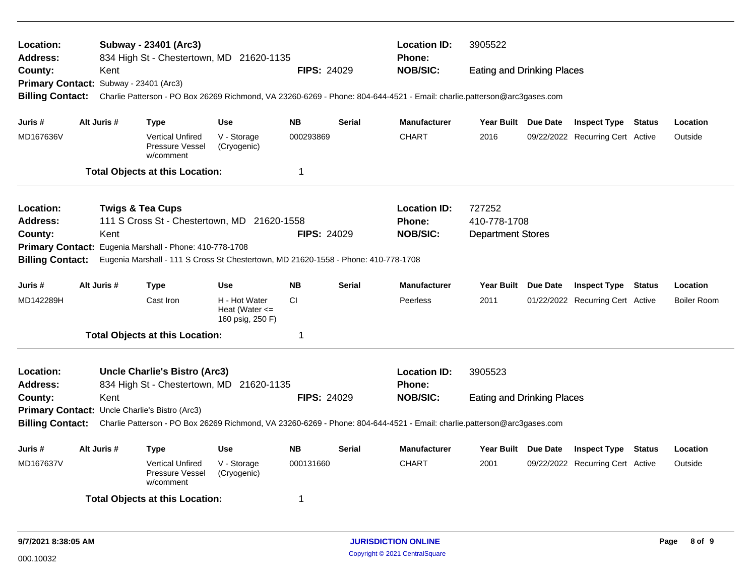| Location:<br><b>Address:</b>           |             |      | Subway - 23401 (Arc3)<br>834 High St - Chestertown, MD 21620-1135                  |                                                         |                    |               | <b>Location ID:</b><br><b>Phone:</b>                                                                                                     | 3905522                           |                                  |               |                    |
|----------------------------------------|-------------|------|------------------------------------------------------------------------------------|---------------------------------------------------------|--------------------|---------------|------------------------------------------------------------------------------------------------------------------------------------------|-----------------------------------|----------------------------------|---------------|--------------------|
| County:                                |             | Kent |                                                                                    |                                                         | <b>FIPS: 24029</b> |               | <b>NOB/SIC:</b>                                                                                                                          | <b>Eating and Drinking Places</b> |                                  |               |                    |
| Primary Contact: Subway - 23401 (Arc3) |             |      |                                                                                    |                                                         |                    |               |                                                                                                                                          |                                   |                                  |               |                    |
| <b>Billing Contact:</b>                |             |      |                                                                                    |                                                         |                    |               | Charlie Patterson - PO Box 26269 Richmond, VA 23260-6269 - Phone: 804-644-4521 - Email: charlie.patterson@arc3gases.com                  |                                   |                                  |               |                    |
| Juris #                                | Alt Juris # |      | <b>Type</b>                                                                        | <b>Use</b>                                              | <b>NB</b>          | <b>Serial</b> | <b>Manufacturer</b>                                                                                                                      | Year Built Due Date               | <b>Inspect Type Status</b>       |               | Location           |
| MD167636V                              |             |      | <b>Vertical Unfired</b><br>Pressure Vessel<br>w/comment                            | V - Storage<br>(Cryogenic)                              | 000293869          |               | <b>CHART</b>                                                                                                                             | 2016                              | 09/22/2022 Recurring Cert Active |               | Outside            |
|                                        |             |      | <b>Total Objects at this Location:</b>                                             |                                                         | 1                  |               |                                                                                                                                          |                                   |                                  |               |                    |
| Location:                              |             |      | <b>Twigs &amp; Tea Cups</b>                                                        |                                                         |                    |               | <b>Location ID:</b>                                                                                                                      | 727252                            |                                  |               |                    |
| <b>Address:</b>                        |             |      | 111 S Cross St - Chestertown, MD 21620-1558                                        |                                                         |                    |               | <b>Phone:</b>                                                                                                                            | 410-778-1708                      |                                  |               |                    |
| County:                                |             | Kent |                                                                                    |                                                         | <b>FIPS: 24029</b> |               | <b>NOB/SIC:</b>                                                                                                                          | <b>Department Stores</b>          |                                  |               |                    |
| <b>Primary Contact:</b>                |             |      | Eugenia Marshall - Phone: 410-778-1708                                             |                                                         |                    |               |                                                                                                                                          |                                   |                                  |               |                    |
| <b>Billing Contact:</b>                |             |      | Eugenia Marshall - 111 S Cross St Chestertown, MD 21620-1558 - Phone: 410-778-1708 |                                                         |                    |               |                                                                                                                                          |                                   |                                  |               |                    |
| Juris #                                | Alt Juris # |      | <b>Type</b>                                                                        | Use                                                     | <b>NB</b>          | <b>Serial</b> | <b>Manufacturer</b>                                                                                                                      | Year Built Due Date               | <b>Inspect Type Status</b>       |               | Location           |
| MD142289H                              |             |      | Cast Iron                                                                          | H - Hot Water<br>Heat (Water $\leq$<br>160 psig, 250 F) | <b>CI</b>          |               | Peerless                                                                                                                                 | 2011                              | 01/22/2022 Recurring Cert Active |               | <b>Boiler Room</b> |
|                                        |             |      | <b>Total Objects at this Location:</b>                                             |                                                         | 1                  |               |                                                                                                                                          |                                   |                                  |               |                    |
| Location:<br><b>Address:</b>           |             |      | <b>Uncle Charlie's Bistro (Arc3)</b><br>834 High St - Chestertown, MD 21620-1135   |                                                         |                    |               | <b>Location ID:</b><br><b>Phone:</b>                                                                                                     | 3905523                           |                                  |               |                    |
| County:                                |             | Kent |                                                                                    |                                                         | <b>FIPS: 24029</b> |               | <b>NOB/SIC:</b>                                                                                                                          | <b>Eating and Drinking Places</b> |                                  |               |                    |
|                                        |             |      | Primary Contact: Uncle Charlie's Bistro (Arc3)                                     |                                                         |                    |               |                                                                                                                                          |                                   |                                  |               |                    |
|                                        |             |      |                                                                                    |                                                         |                    |               | Billing Contact: Charlie Patterson - PO Box 26269 Richmond, VA 23260-6269 - Phone: 804-644-4521 - Email: charlie.patterson@arc3gases.com |                                   |                                  |               |                    |
| Juris #                                | Alt Juris # |      | Type                                                                               | Use                                                     | <b>NB</b>          | <b>Serial</b> | <b>Manufacturer</b>                                                                                                                      | Year Built Due Date               | <b>Inspect Type</b>              | <b>Status</b> | Location           |
| MD167637V                              |             |      | <b>Vertical Unfired</b><br>Pressure Vessel<br>w/comment                            | V - Storage<br>(Cryogenic)                              | 000131660          |               | <b>CHART</b>                                                                                                                             | 2001                              | 09/22/2022 Recurring Cert Active |               | Outside            |
|                                        |             |      | <b>Total Objects at this Location:</b>                                             |                                                         | 1                  |               |                                                                                                                                          |                                   |                                  |               |                    |